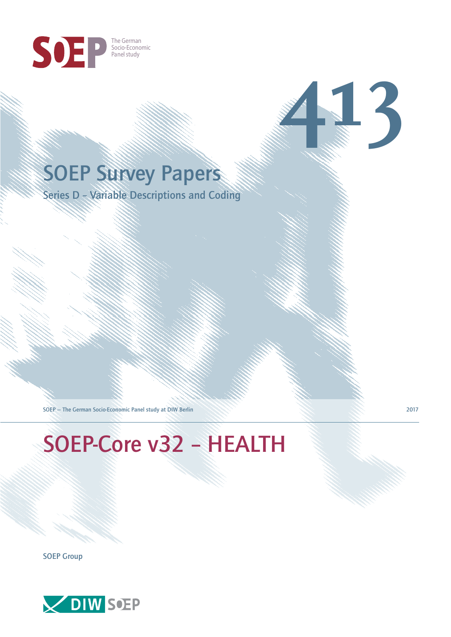

# SOEP Survey Papers

Series D – Variable Descriptions and Coding

SOEP — The German Socio-Economic Panel study at DIW Berlin 2017

# SOEP-Core v32 – HEALTH

SOEP Group



**413**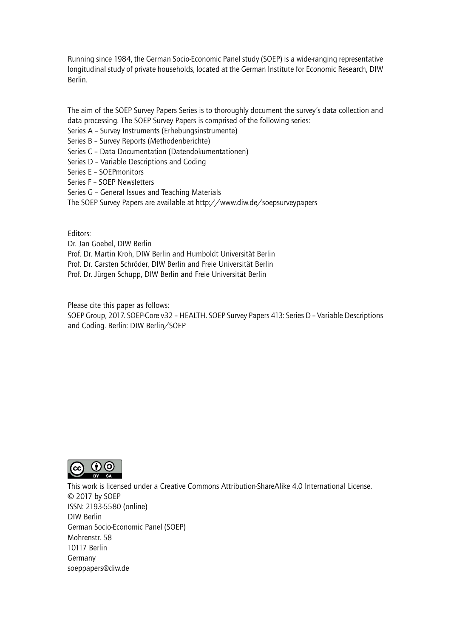Running since 1984, the German Socio-Economic Panel study (SOEP) is a wide-ranging representative longitudinal study of private households, located at the German Institute for Economic Research, DIW Berlin.

The aim of the SOEP Survey Papers Series is to thoroughly document the survey's data collection and data processing. The SOEP Survey Papers is comprised of the following series:

- Series A Survey Instruments (Erhebungsinstrumente)
- Series B Survey Reports (Methodenberichte)
- Series C Data Documentation (Datendokumentationen)
- Series D Variable Descriptions and Coding
- Series E SOEPmonitors
- Series F SOEP Newsletters
- Series G General Issues and Teaching Materials
- The SOEP Survey Papers are available at http://www.diw.de/soepsurveypapers

Editors:

Dr. Jan Goebel, DIW Berlin

- Prof. Dr. Martin Kroh, DIW Berlin and Humboldt Universität Berlin
- Prof. Dr. Carsten Schröder, DIW Berlin and Freie Universität Berlin
- Prof. Dr. Jürgen Schupp, DIW Berlin and Freie Universität Berlin

Please cite this paper as follows:

SOEP Group, 2017. SOEP-Core v32 – HEALTH. SOEP Survey Papers 413: Series D – Variable Descriptions and Coding. Berlin: DIW Berlin/SOEP



This work is licensed under a Creative Commons Attribution-ShareAlike 4.0 International License. © 2017 by SOEP ISSN: 2193-5580 (online) DIW Berlin German Socio-Economic Pan[el \(SOEP\)](http://creativecommons.org/licenses/by-sa/4.0/) Mohrenstr. 58 10117 Berlin Germany soeppapers@diw.de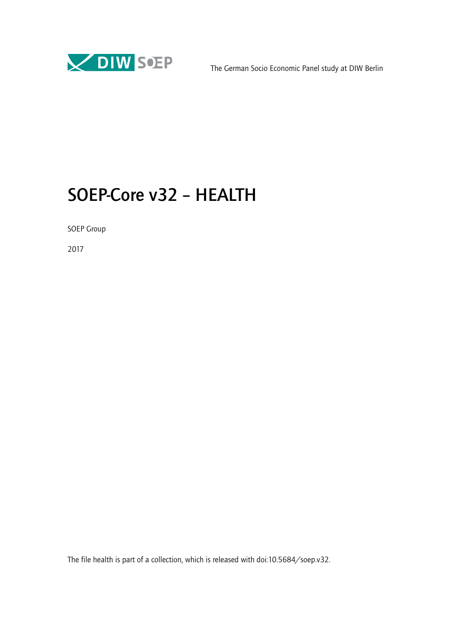

# SOEP-Core v32 – HEALTH

SOEP Group

2017

The file health is part of a collection, which is released with doi:10.5684/soep.v32.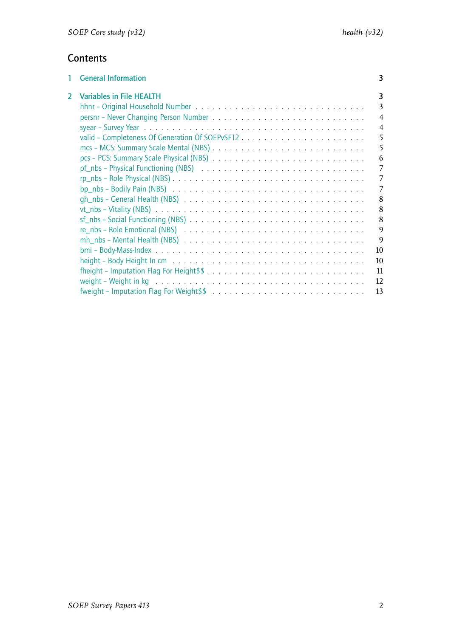### **Contents**

| 1 | <b>General Information</b>                                                                                             | 3              |
|---|------------------------------------------------------------------------------------------------------------------------|----------------|
| 2 | <b>Variables in File HEALTH</b>                                                                                        | 3              |
|   |                                                                                                                        | 3              |
|   |                                                                                                                        | $\overline{4}$ |
|   |                                                                                                                        | $\overline{4}$ |
|   | valid – Completeness Of Generation Of SOEPvSF12                                                                        | 5              |
|   |                                                                                                                        | 5              |
|   |                                                                                                                        | 6              |
|   |                                                                                                                        | 7              |
|   |                                                                                                                        | 7              |
|   |                                                                                                                        | 7              |
|   |                                                                                                                        |                |
|   | $gh_n$ nbs – General Health (NBS) $\ldots \ldots \ldots \ldots \ldots \ldots \ldots \ldots \ldots \ldots \ldots$       | 8              |
|   |                                                                                                                        | 8              |
|   |                                                                                                                        | 8              |
|   | $re\_nbs$ – Role Emotional (NBS) $\ldots \ldots \ldots \ldots \ldots \ldots \ldots \ldots \ldots \ldots \ldots \ldots$ | $\mathbf{Q}$   |
|   | $mh$ nbs - Mental Health (NBS) $\ldots \ldots \ldots \ldots \ldots \ldots \ldots \ldots \ldots \ldots \ldots$          | $\mathbf Q$    |
|   |                                                                                                                        | 10             |
|   |                                                                                                                        | 10             |
|   |                                                                                                                        | 11             |
|   |                                                                                                                        | 12             |
|   | fweight – Imputation Flag For Weight\$\$ $\ldots \ldots \ldots \ldots \ldots \ldots \ldots \ldots \ldots \ldots$       | 13             |
|   |                                                                                                                        |                |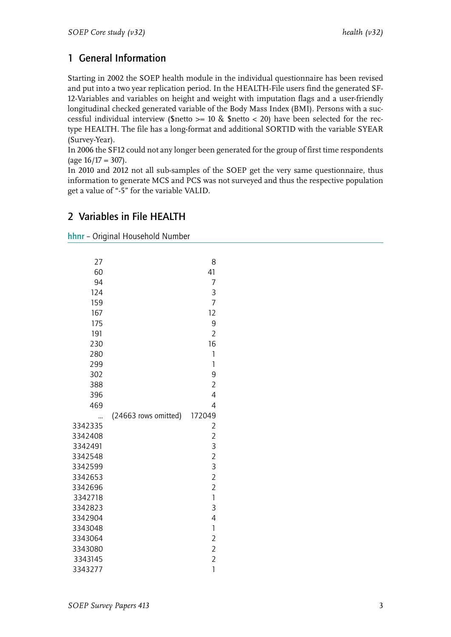## <span id="page-4-0"></span>1 General Information

Starting in 2002 the SOEP health module in the individual questionnaire has been revised and put into a two year replication period. In the HEALTH-File users find the generated SF-12-Variables and variables on height and weight with imputation flags and a user-friendly longitudinal checked generated variable of the Body Mass Index (BMI). Persons with a successful individual interview (\$netto  $>= 10$  & \$netto < 20) have been selected for the rectype HEALTH. The file has a long-format and additional SORTID with the variable SYEAR (Survey-Year).

In 2006 the SF12 could not any longer been generated for the group of first time respondents  $(\text{age } 16/17 = 307).$ 

In 2010 and 2012 not all sub-samples of the SOEP get the very same questionnaire, thus information to generate MCS and PCS was not surveyed and thus the respective population get a value of "-5" for the variable VALID.

### <span id="page-4-1"></span>2 Variables in File HEALTH

<span id="page-4-2"></span>hhnr – Original Household Number

| 27<br>60<br>94<br>124<br>159<br>167<br>175<br>191<br>230<br>280<br>299<br>302<br>388<br>396<br>469 |                      | 8<br>41<br>7<br>3<br>$\overline{7}$<br>12<br>9<br>$\overline{2}$<br>16<br>1<br>$\overline{1}$<br>9<br>$\overline{2}$<br>4<br>4 |
|----------------------------------------------------------------------------------------------------|----------------------|--------------------------------------------------------------------------------------------------------------------------------|
| 3342335<br>3342408                                                                                 | (24663 rows omitted) | 172049<br>$\overline{c}$<br>$\overline{c}$                                                                                     |
| 3342491                                                                                            |                      | $\overline{3}$                                                                                                                 |
| 3342548<br>3342599                                                                                 |                      | $\frac{2}{3}$                                                                                                                  |
| 3342653                                                                                            |                      | $\overline{c}$                                                                                                                 |
| 3342696                                                                                            |                      | $\overline{c}$                                                                                                                 |
| 3342718                                                                                            |                      | $\mathbf{1}$                                                                                                                   |
| 3342823                                                                                            |                      | 3                                                                                                                              |
| 3342904<br>3343048                                                                                 |                      | $\overline{4}$<br>$\mathbf{1}$                                                                                                 |
| 3343064                                                                                            |                      | $\overline{2}$                                                                                                                 |
| 3343080                                                                                            |                      | $\overline{2}$                                                                                                                 |
| 3343145                                                                                            |                      | $\overline{2}$                                                                                                                 |
| 3343277                                                                                            |                      | $\mathbf{1}$                                                                                                                   |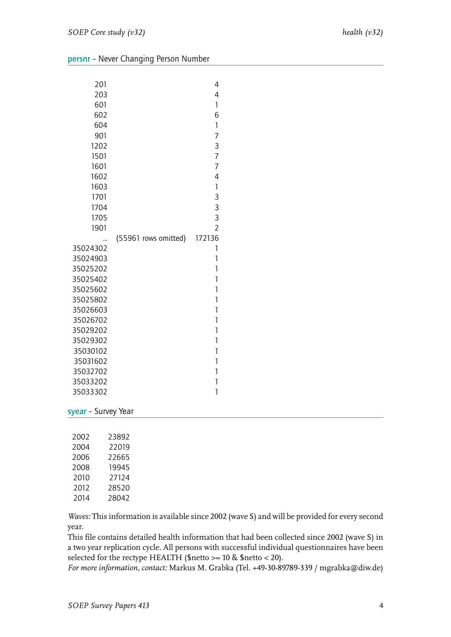<span id="page-5-0"></span>

| persnr - Never Changing Person Number |  |  |
|---------------------------------------|--|--|
|---------------------------------------|--|--|

| 201                  |                      | 4              |
|----------------------|----------------------|----------------|
| 203                  |                      | 4              |
| 601                  |                      | $\mathbf{1}$   |
| 602                  |                      | 6              |
| 604                  |                      | $\mathbf{1}$   |
| 901                  |                      | 7              |
| 1202                 |                      | 3              |
| 1501                 |                      | 7              |
| 1601                 |                      | 7              |
| 1602                 |                      | $\overline{4}$ |
| 1603                 |                      | $\mathbf{1}$   |
| 1701                 |                      | 3              |
| 1704                 |                      | 3              |
| 1705                 |                      | 3              |
| 1901                 |                      | $\overline{2}$ |
|                      | (55961 rows omitted) | 172136         |
| 35024302             |                      | 1              |
| 35024903             |                      | 1<br>1         |
| 35025202<br>35025402 |                      | 1              |
| 35025602             |                      | 1              |
| 35025802             |                      | 1              |
| 35026603             |                      | $\overline{1}$ |
| 35026702             |                      | 1              |
| 35029202             |                      | 1              |
| 35029302             |                      | 1              |
| 35030102             |                      | 1              |
| 35031602             |                      | 1              |
| 35032702             |                      | 1              |
| 35033202             |                      | 1              |
| 35033302             |                      | $\overline{1}$ |

<span id="page-5-1"></span>syear – Survey Year

| 2002 | 23892 |
|------|-------|
| 2004 | 22019 |
| 2006 | 22665 |
| 2008 | 19945 |
| 2010 | 27124 |
| 2012 | 28520 |
| 2014 | 28042 |

*Waves:* This information is available since 2002 (wave S) and will be provided for every second year.

This file contains detailed health information that had been collected since 2002 (wave S) in a two year replication cycle. All persons with successful individual questionnaires have been selected for the rectype HEALTH (\$netto >= 10 & \$netto < 20).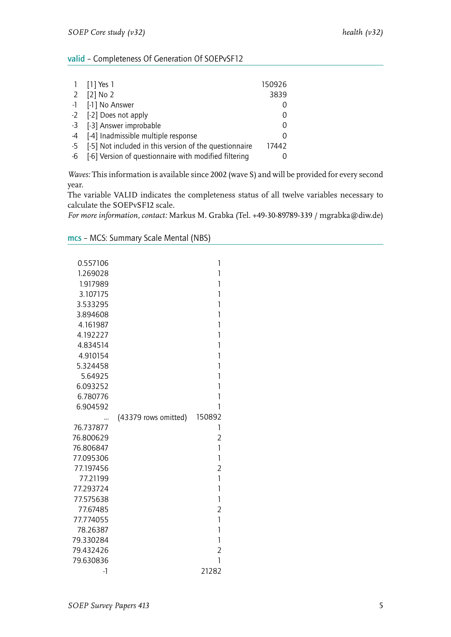#### <span id="page-6-0"></span>valid – Completeness Of Generation Of SOEPvSF12

|      | 1 [1] Yes 1                                            | 150926        |
|------|--------------------------------------------------------|---------------|
|      | 2 $[2]$ No 2                                           | 3839          |
|      | -1 [-1] No Answer                                      |               |
|      | -2 [-2] Does not apply                                 | $\Omega$      |
|      | -3 [-3] Answer improbable                              | $\Omega$      |
|      | -4 [-4] Inadmissible multiple response                 | $\mathcal{O}$ |
| $-5$ | [-5] Not included in this version of the questionnaire | 17442         |
| $-6$ | [-6] Version of questionnaire with modified filtering  |               |

*Waves:* This information is available since 2002 (wave S) and will be provided for every second year.

The variable VALID indicates the completeness status of all twelve variables necessary to calculate the SOEPvSF12 scale.

<span id="page-6-1"></span>

| mcs - MCS: Summary Scale Mental (NBS) |  |  |
|---------------------------------------|--|--|
|---------------------------------------|--|--|

| 0.557106  |                      | 1              |
|-----------|----------------------|----------------|
| 1.269028  |                      | 1              |
| 1.917989  |                      | 1              |
| 3.107175  |                      | 1              |
| 3.533295  |                      | 1              |
| 3.894608  |                      | 1              |
| 4.161987  |                      | 1              |
| 4.192227  |                      | 1              |
| 4.834514  |                      | 1              |
| 4.910154  |                      | 1              |
| 5.324458  |                      | 1              |
| 5.64925   |                      | 1              |
| 6.093252  |                      | 1              |
| 6.780776  |                      | 1              |
| 6.904592  |                      | 1              |
| 76.737877 | (43379 rows omitted) | 150892<br>1    |
| 76.800629 |                      | $\overline{2}$ |
| 76.806847 |                      | 1              |
| 77.095306 |                      | 1              |
| 77.197456 |                      | $\overline{2}$ |
| 77.21199  |                      | 1              |
| 77.293724 |                      | 1              |
| 77.575638 |                      | 1              |
| 77.67485  |                      | $\overline{2}$ |
| 77.774055 |                      | $\mathbf{1}$   |
| 78.26387  |                      | 1              |
| 79.330284 |                      | 1              |
| 79.432426 |                      | $\overline{2}$ |
| 79.630836 |                      | 1              |
| -1        |                      | 21282          |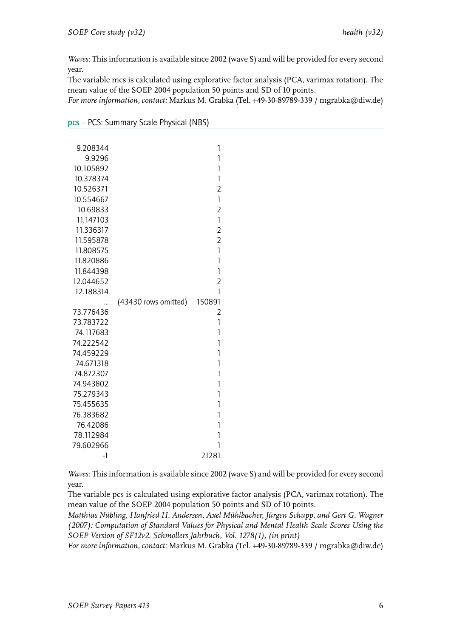The variable mcs is calculated using explorative factor analysis (PCA, varimax rotation). The mean value of the SOEP 2004 population 50 points and SD of 10 points.

*For more information, contact:* Markus M. Grabka (Tel. +49-30-89789-339 / mgrabka@diw.de)

| 9.208344<br>9.9296     |                      | 1<br>1         |
|------------------------|----------------------|----------------|
| 10.105892              |                      | 1              |
| 10.378374              |                      | 1              |
| 10.526371              |                      | $\overline{2}$ |
| 10.554667              |                      | 1              |
| 10.69833               |                      | $\overline{2}$ |
| 11.147103              |                      | $\mathbf{1}$   |
| 11.336317              |                      | $\overline{2}$ |
| 11.595878              |                      | $\overline{2}$ |
| 11.808575              |                      | $\mathbf{1}$   |
| 11.820886              |                      | 1              |
| 11.844398              |                      | $\mathbf{1}$   |
| 12.044652              |                      | $\overline{2}$ |
| 12.188314              |                      | 1              |
|                        | (43430 rows omitted) | 150891         |
| 73.776436              |                      | 2              |
| 73.783722              |                      | 1              |
| 74.117683              |                      | 1              |
| 74.222542              |                      | 1              |
| 74.459229              |                      | 1<br>1         |
| 74.671318<br>74.872307 |                      | 1              |
| 74.943802              |                      | 1              |
| 75.279343              |                      | 1              |
| 75.455635              |                      | 1              |
| 76.383682              |                      | 1              |
| 76.42086               |                      | 1              |
| 78.112984              |                      | 1              |
| 79.602966              |                      | 1              |
| $-1$                   |                      | 21281          |

<span id="page-7-0"></span>pcs – PCS: Summary Scale Physical (NBS)

*Waves:* This information is available since 2002 (wave S) and will be provided for every second year.

The variable pcs is calculated using explorative factor analysis (PCA, varimax rotation). The mean value of the SOEP 2004 population 50 points and SD of 10 points.

*Matthias Nübling, Hanfried H. Andersen, Axel Mühlbacher, Jürgen Schupp, and Gert G. Wagner (2007): Computation of Standard Values for Physical and Mental Health Scale Scores Using the SOEP Version of SF12v2. Schmollers Jahrbuch, Vol. 1278(1), (in print)*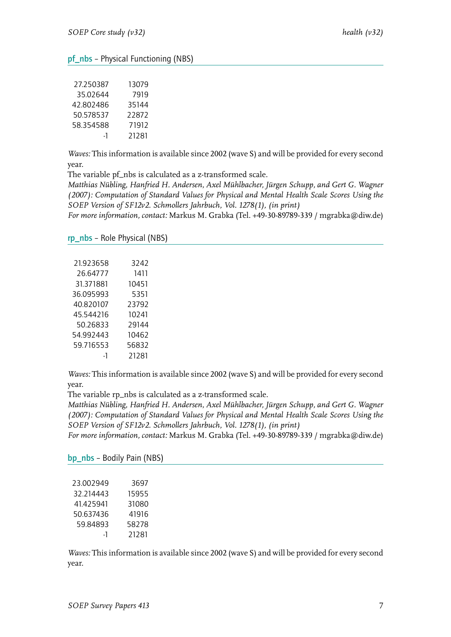#### <span id="page-8-0"></span>pf\_nbs – Physical Functioning (NBS)

| 27.250387 | 13079 |
|-----------|-------|
| 35.02644  | 7919  |
| 42.802486 | 35144 |
| 50.578537 | 22872 |
| 58.354588 | 71912 |
| -1        | 21281 |

*Waves:* This information is available since 2002 (wave S) and will be provided for every second year.

The variable pf\_nbs is calculated as a z-transformed scale.

*Matthias Nübling, Hanfried H. Andersen, Axel Mühlbacher, Jürgen Schupp, and Gert G. Wagner (2007): Computation of Standard Values for Physical and Mental Health Scale Scores Using the SOEP Version of SF12v2. Schmollers Jahrbuch, Vol. 1278(1), (in print)*

*For more information, contact:* Markus M. Grabka (Tel. +49-30-89789-339 / mgrabka@diw.de)

#### <span id="page-8-1"></span>rp\_nbs – Role Physical (NBS)

| 21.923658 | 3242  |
|-----------|-------|
| 26.64777  | 1411  |
| 31,371881 | 10451 |
| 36.095993 | 5351  |
| 40.820107 | 23792 |
| 45.544216 | 10241 |
| 50.26833  | 29144 |
| 54.992443 | 10462 |
| 59.716553 | 56832 |
| -1        | 21281 |
|           |       |

*Waves:* This information is available since 2002 (wave S) and will be provided for every second year.

The variable rp\_nbs is calculated as a z-transformed scale.

*Matthias Nübling, Hanfried H. Andersen, Axel Mühlbacher, Jürgen Schupp, and Gert G. Wagner (2007): Computation of Standard Values for Physical and Mental Health Scale Scores Using the SOEP Version of SF12v2. Schmollers Jahrbuch, Vol. 1278(1), (in print)*

*For more information, contact:* Markus M. Grabka (Tel. +49-30-89789-339 / mgrabka@diw.de)

<span id="page-8-2"></span>bp\_nbs – Bodily Pain (NBS)

| 3697  |
|-------|
| 15955 |
| 31080 |
| 41916 |
| 58278 |
| 21281 |
|       |

*Waves:* This information is available since 2002 (wave S) and will be provided for every second year.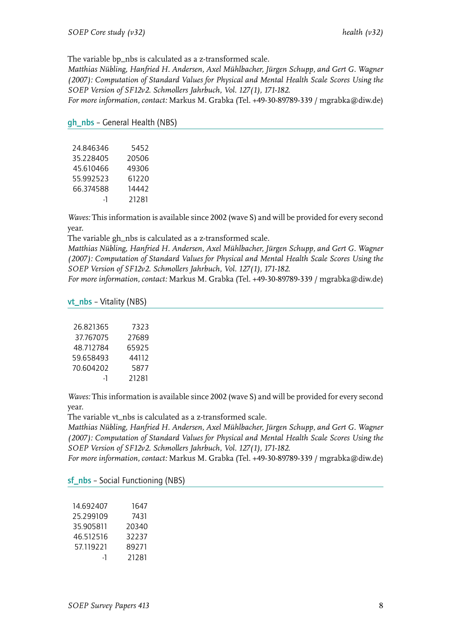The variable bp\_nbs is calculated as a z-transformed scale.

*Matthias Nübling, Hanfried H. Andersen, Axel Mühlbacher, Jürgen Schupp, and Gert G. Wagner (2007): Computation of Standard Values for Physical and Mental Health Scale Scores Using the SOEP Version of SF12v2. Schmollers Jahrbuch, Vol. 127(1), 171-182.*

*For more information, contact:* Markus M. Grabka (Tel. +49-30-89789-339 / mgrabka@diw.de)

#### <span id="page-9-0"></span>gh\_nbs – General Health (NBS)

| 24.846346 | 5452  |
|-----------|-------|
| 35.228405 | 20506 |
| 45.610466 | 49306 |
| 55.992523 | 61220 |
| 66.374588 | 14442 |
| -1        | 21281 |

*Waves:* This information is available since 2002 (wave S) and will be provided for every second year.

The variable gh\_nbs is calculated as a z-transformed scale.

*Matthias Nübling, Hanfried H. Andersen, Axel Mühlbacher, Jürgen Schupp, and Gert G. Wagner (2007): Computation of Standard Values for Physical and Mental Health Scale Scores Using the SOEP Version of SF12v2. Schmollers Jahrbuch, Vol. 127(1), 171-182.*

*For more information, contact:* Markus M. Grabka (Tel. +49-30-89789-339 / mgrabka@diw.de)

#### <span id="page-9-1"></span>vt\_nbs – Vitality (NBS)

| 26.821365 | 7323  |
|-----------|-------|
| 37.767075 | 27689 |
| 48.712784 | 65925 |
| 59.658493 | 44112 |
| 70.604202 | 5877  |
| -1        | 21281 |
|           |       |

*Waves:* This information is available since 2002 (wave S) and will be provided for every second year.

The variable vt\_nbs is calculated as a z-transformed scale.

*Matthias Nübling, Hanfried H. Andersen, Axel Mühlbacher, Jürgen Schupp, and Gert G. Wagner (2007): Computation of Standard Values for Physical and Mental Health Scale Scores Using the SOEP Version of SF12v2. Schmollers Jahrbuch, Vol. 127(1), 171-182.*

<span id="page-9-2"></span>

|  |  |  | <b>sf_nbs</b> – Social Functioning (NBS) |  |
|--|--|--|------------------------------------------|--|
|--|--|--|------------------------------------------|--|

| 14.692407 | 1647  |
|-----------|-------|
| 25.299109 | 7431  |
| 35.905811 | 20340 |
| 46.512516 | 32237 |
| 57.119221 | 89271 |
| -1        | 21281 |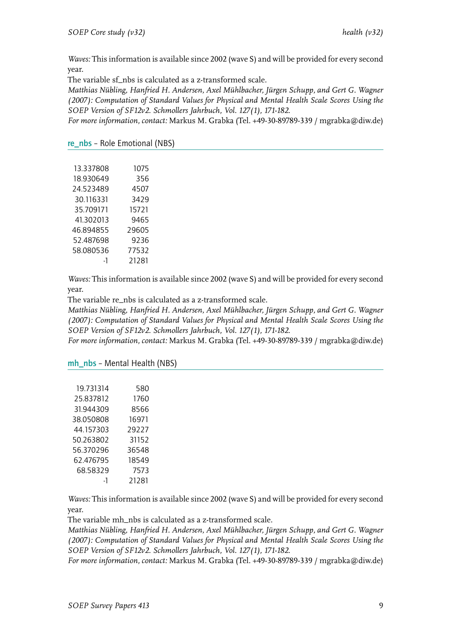The variable sf\_nbs is calculated as a z-transformed scale.

*Matthias Nübling, Hanfried H. Andersen, Axel Mühlbacher, Jürgen Schupp, and Gert G. Wagner (2007): Computation of Standard Values for Physical and Mental Health Scale Scores Using the SOEP Version of SF12v2. Schmollers Jahrbuch, Vol. 127(1), 171-182.*

*For more information, contact:* Markus M. Grabka (Tel. +49-30-89789-339 / mgrabka@diw.de)

#### <span id="page-10-0"></span>re\_nbs – Role Emotional (NBS)

| 1075  |
|-------|
| 356   |
| 4507  |
| 3429  |
| 15721 |
| 9465  |
| 29605 |
| 9236  |
| 77532 |
| 21281 |
|       |

*Waves:* This information is available since 2002 (wave S) and will be provided for every second year.

The variable re\_nbs is calculated as a z-transformed scale.

*Matthias Nübling, Hanfried H. Andersen, Axel Mühlbacher, Jürgen Schupp, and Gert G. Wagner (2007): Computation of Standard Values for Physical and Mental Health Scale Scores Using the SOEP Version of SF12v2. Schmollers Jahrbuch, Vol. 127(1), 171-182.*

*For more information, contact:* Markus M. Grabka (Tel. +49-30-89789-339 / mgrabka@diw.de)

<span id="page-10-1"></span>mh\_nbs – Mental Health (NBS)

| 19,731314 | 580   |
|-----------|-------|
| 25.837812 | 1760  |
| 31.944309 | 8566  |
| 38.050808 | 16971 |
| 44.157303 | 29227 |
| 50.263802 | 31152 |
| 56.370296 | 36548 |
| 62.476795 | 18549 |
| 68.58329  | 7573  |
| -1        | 21281 |
|           |       |

*Waves:* This information is available since 2002 (wave S) and will be provided for every second year.

The variable mh\_nbs is calculated as a z-transformed scale.

*Matthias Nübling, Hanfried H. Andersen, Axel Mühlbacher, Jürgen Schupp, and Gert G. Wagner (2007): Computation of Standard Values for Physical and Mental Health Scale Scores Using the SOEP Version of SF12v2. Schmollers Jahrbuch, Vol. 127(1), 171-182.*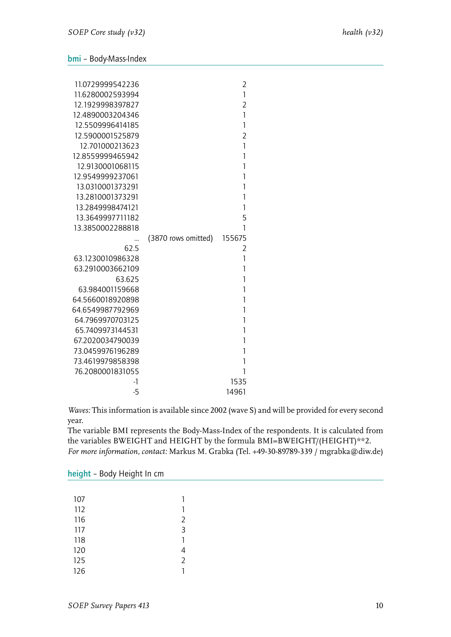#### <span id="page-11-0"></span>bmi – Body-Mass-Index

| 11.0729999542236 |                     | 2              |
|------------------|---------------------|----------------|
| 11.6280002593994 |                     | $\mathbf{1}$   |
| 12.1929998397827 |                     | $\overline{2}$ |
| 12.4890003204346 |                     | 1              |
| 12.5509996414185 |                     | 1              |
| 12.5900001525879 |                     | $\overline{2}$ |
| 12.701000213623  |                     | 1              |
| 12.8559999465942 |                     | 1              |
| 12.9130001068115 |                     | 1              |
| 12.9549999237061 |                     | 1              |
| 13.0310001373291 |                     | 1              |
| 13.2810001373291 |                     | 1              |
| 13.2849998474121 |                     | 1              |
| 13.3649997711182 |                     | 5              |
| 13.3850002288818 |                     | 1              |
|                  | (3870 rows omitted) | 155675         |
| 62.5             |                     | 2              |
| 63.1230010986328 |                     | $\mathbf{1}$   |
| 63.2910003662109 |                     | 1              |
| 63.625           |                     | 1              |
| 63.984001159668  |                     | 1              |
| 64.5660018920898 |                     | 1              |
| 64.6549987792969 |                     | 1              |
| 64.7969970703125 |                     | 1              |
| 65.7409973144531 |                     | 1              |
| 67.2020034790039 |                     | 1              |
| 73.0459976196289 |                     | 1              |
| 73.4619979858398 |                     | 1              |
| 76.2080001831055 |                     | 1              |
| -1               |                     | 1535           |
| $-5$             |                     | 14961          |

*Waves:* This information is available since 2002 (wave S) and will be provided for every second year.

The variable BMI represents the Body-Mass-Index of the respondents. It is calculated from the variables BWEIGHT and HEIGHT by the formula BMI=BWEIGHT/(HEIGHT)\*\*2. *For more information, contact:* Markus M. Grabka (Tel. +49-30-89789-339 / mgrabka@diw.de)

<span id="page-11-1"></span>height – Body Height In cm

| 107 | 1              |
|-----|----------------|
| 112 | 1              |
| 116 | $\overline{2}$ |
| 117 | $\overline{3}$ |
| 118 | 1              |
| 120 | 4              |
| 125 | $\overline{2}$ |
| 126 |                |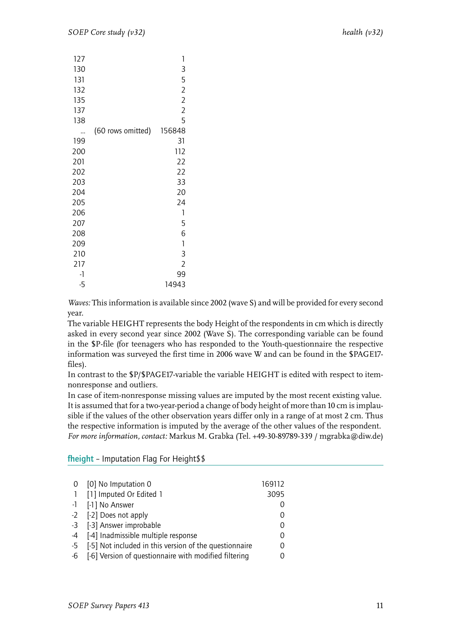| 127  |                   | 1              |
|------|-------------------|----------------|
| 130  |                   | 3              |
| 131  |                   | 5              |
| 132  |                   | $\overline{2}$ |
| 135  |                   | $\overline{2}$ |
| 137  |                   | $\overline{2}$ |
| 138  |                   | 5              |
|      | (60 rows omitted) | 156848         |
| 199  |                   | 31             |
| 200  |                   | 112            |
| 201  |                   | 22             |
| 202  |                   | 22             |
| 203  |                   | 33             |
| 204  |                   | 20             |
| 205  |                   | 24             |
| 206  |                   | 1              |
| 207  |                   | 5              |
| 208  |                   | 6              |
| 209  |                   | 1              |
| 210  |                   | 3              |
| 217  |                   | $\overline{2}$ |
| $-1$ |                   | 99             |
| $-5$ |                   | 14943          |

The variable HEIGHT represents the body Height of the respondents in cm which is directly asked in every second year since 2002 (Wave S). The corresponding variable can be found in the \$P-file (for teenagers who has responded to the Youth-questionnaire the respective information was surveyed the first time in 2006 wave W and can be found in the \$PAGE17 files).

In contrast to the \$P/\$PAGE17-variable the variable HEIGHT is edited with respect to itemnonresponse and outliers.

In case of item-nonresponse missing values are imputed by the most recent existing value. It is assumed that for a two-year-period a change of body height of more than 10 cm is implausible if the values of the other observation years differ only in a range of at most 2 cm. Thus the respective information is imputed by the average of the other values of the respondent. *For more information, contact:* Markus M. Grabka (Tel. +49-30-89789-339 / mgrabka@diw.de)

| 0              | [0] No Imputation 0                                    | 169112 |
|----------------|--------------------------------------------------------|--------|
| $\overline{1}$ | [1] Imputed Or Edited 1                                | 3095   |
|                | -1 [-1] No Answer                                      |        |
|                | -2 [-2] Does not apply                                 |        |
|                | -3 [-3] Answer improbable                              |        |
|                | -4 [-4] Inadmissible multiple response                 |        |
| $-5$           | [-5] Not included in this version of the questionnaire |        |
| $-6$           | [-6] Version of questionnaire with modified filtering  |        |
|                |                                                        |        |

#### fheight – Imputation Flag For Height\$\$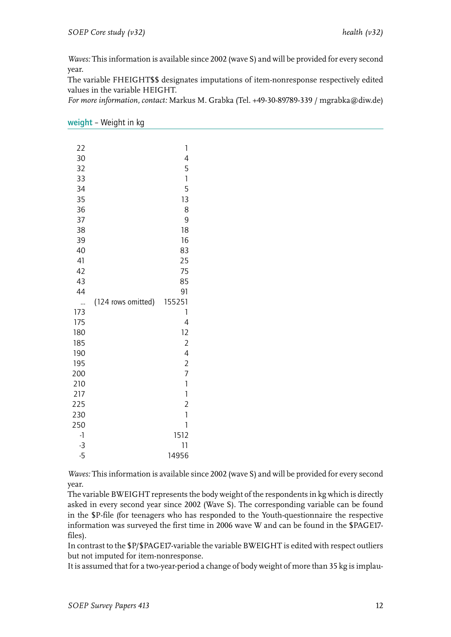The variable FHEIGHT\$\$ designates imputations of item-nonresponse respectively edited values in the variable HEIGHT.

*For more information, contact:* Markus M. Grabka (Tel. +49-30-89789-339 / mgrabka@diw.de)

|  |  | weight – Weight in kg |  |
|--|--|-----------------------|--|
|--|--|-----------------------|--|

| 22       |                    | 1              |
|----------|--------------------|----------------|
| 30       |                    | 4              |
| 32       |                    | 5              |
| 33       |                    | 1              |
| 34       |                    | 5              |
| 35       |                    | 13             |
| 36       |                    | 8              |
| 37       |                    | 9              |
| 38       |                    | 18             |
| 39       |                    | 16             |
| 40       |                    | 83             |
| 41       |                    | 25             |
| 42       |                    | 75             |
| 43       |                    | 85             |
| 44       |                    | 91             |
|          | (124 rows omitted) | 155251         |
| 173      |                    | 1              |
| 175      |                    | 4              |
| 180      |                    | 12             |
| 185      |                    | $\overline{c}$ |
| 190      |                    | 4              |
| 195      |                    | $\overline{c}$ |
| 200      |                    | 7              |
| 210      |                    | 1              |
| 217      |                    | $\mathbf{1}$   |
| 225      |                    | $\overline{2}$ |
| 230      |                    | 1              |
| 250      |                    | 1              |
| $\lceil$ |                    | 1512           |
| $-3$     |                    | 11             |
| $-5$     |                    | 14956          |

*Waves:* This information is available since 2002 (wave S) and will be provided for every second year.

The variable BWEIGHT represents the body weight of the respondents in kg which is directly asked in every second year since 2002 (Wave S). The corresponding variable can be found in the \$P-file (for teenagers who has responded to the Youth-questionnaire the respective information was surveyed the first time in 2006 wave W and can be found in the \$PAGE17 files).

In contrast to the \$P/\$PAGE17-variable the variable BWEIGHT is edited with respect outliers but not imputed for item-nonresponse.

It is assumed that for a two-year-period a change of body weight of more than 35 kg is implau-